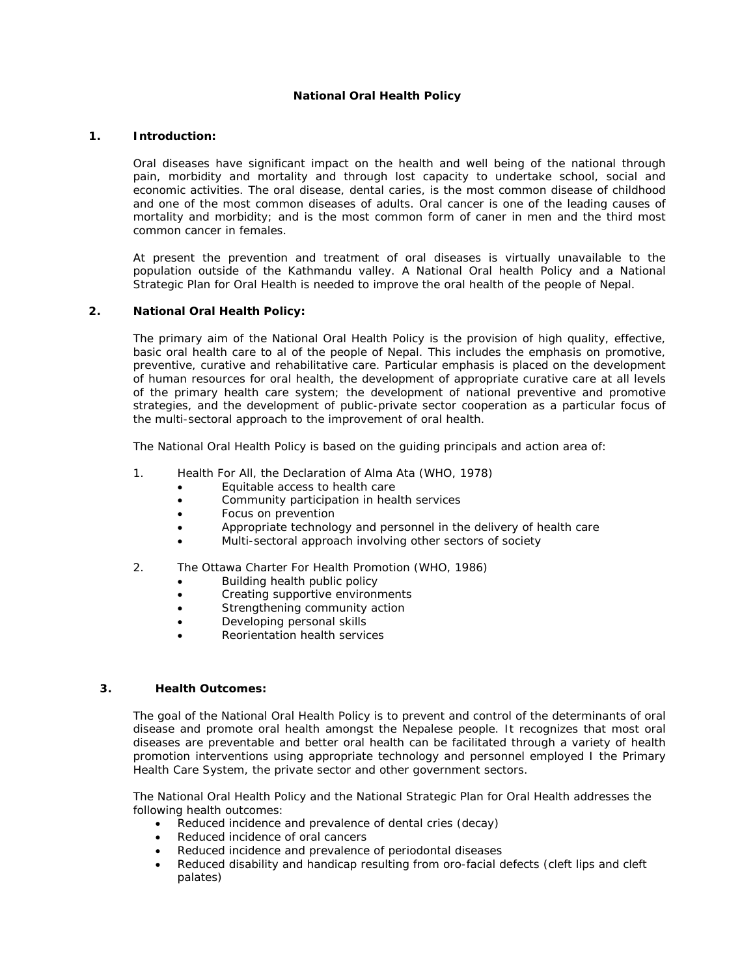# **National Oral Health Policy**

### **1. Introduction:**

Oral diseases have significant impact on the health and well being of the national through pain, morbidity and mortality and through lost capacity to undertake school, social and economic activities. The oral disease, dental caries, is the most common disease of childhood and one of the most common diseases of adults. Oral cancer is one of the leading causes of mortality and morbidity; and is the most common form of caner in men and the third most common cancer in females.

At present the prevention and treatment of oral diseases is virtually unavailable to the population outside of the Kathmandu valley. A National Oral health Policy and a National Strategic Plan for Oral Health is needed to improve the oral health of the people of Nepal.

### **2. National Oral Health Policy:**

The primary aim of the National Oral Health Policy is the provision of high quality, effective, basic oral health care to al of the people of Nepal. This includes the emphasis on promotive, preventive, curative and rehabilitative care. Particular emphasis is placed on the development of human resources for oral health, the development of appropriate curative care at all levels of the primary health care system; the development of national preventive and promotive strategies, and the development of public-private sector cooperation as a particular focus of the multi-sectoral approach to the improvement of oral health.

The National Oral Health Policy is based on the guiding principals and action area of:

- 1. Health For All, the Declaration of Alma Ata (WHO, 1978)
	- Equitable access to health care
	- Community participation in health services
	- Focus on prevention
	- Appropriate technology and personnel in the delivery of health care
	- Multi-sectoral approach involving other sectors of society
- 2. The Ottawa Charter For Health Promotion (WHO, 1986)
	- Building health public policy
	- Creating supportive environments
	- Strengthening community action
	- Developing personal skills
	- Reorientation health services

### **3. Health Outcomes:**

The goal of the National Oral Health Policy is to prevent and control of the determinants of oral disease and promote oral health amongst the Nepalese people. It recognizes that most oral diseases are preventable and better oral health can be facilitated through a variety of health promotion interventions using appropriate technology and personnel employed I the Primary Health Care System, the private sector and other government sectors.

The National Oral Health Policy and the National Strategic Plan for Oral Health addresses the following health outcomes:

- Reduced incidence and prevalence of dental cries (decay)
- Reduced incidence of oral cancers
- Reduced incidence and prevalence of periodontal diseases
- Reduced disability and handicap resulting from oro-facial defects (cleft lips and cleft palates)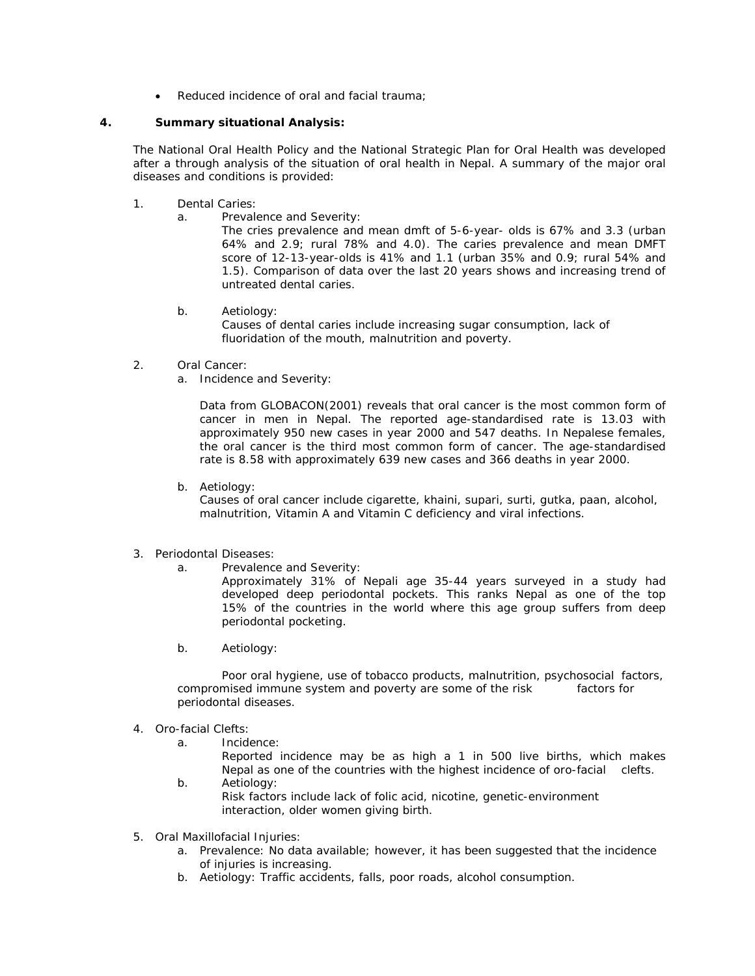• Reduced incidence of oral and facial trauma;

# **4. Summary situational Analysis:**

The National Oral Health Policy and the National Strategic Plan for Oral Health was developed after a through analysis of the situation of oral health in Nepal. A summary of the major oral diseases and conditions is provided:

- 1. Dental Caries:
	- a. Prevalence and Severity:

The cries prevalence and mean dmft of 5-6-year- olds is 67% and 3.3 (urban 64% and 2.9; rural 78% and 4.0). The caries prevalence and mean DMFT score of 12-13-year-olds is 41% and 1.1 (urban 35% and 0.9; rural 54% and 1.5). Comparison of data over the last 20 years shows and increasing trend of untreated dental caries.

b. Aetiology:

 Causes of dental caries include increasing sugar consumption, lack of fluoridation of the mouth, malnutrition and poverty.

- 2. Oral Cancer:
	- a. Incidence and Severity:

Data from GLOBACON(2001) reveals that oral cancer is the most common form of cancer in men in Nepal. The reported age-standardised rate is 13.03 with approximately 950 new cases in year 2000 and 547 deaths. In Nepalese females, the oral cancer is the third most common form of cancer. The age-standardised rate is 8.58 with approximately 639 new cases and 366 deaths in year 2000.

b. Aetiology:

Causes of oral cancer include cigarette, khaini, supari, surti, gutka, paan, alcohol, malnutrition, Vitamin A and Vitamin C deficiency and viral infections.

- 3. Periodontal Diseases:
	- a. Prevalence and Severity:

 Approximately 31% of Nepali age 35-44 years surveyed in a study had developed deep periodontal pockets. This ranks Nepal as one of the top 15% of the countries in the world where this age group suffers from deep periodontal pocketing.

b. Aetiology:

 Poor oral hygiene, use of tobacco products, malnutrition, psychosocial factors, compromised immune system and poverty are some of the risk factors for periodontal diseases.

- 4. Oro-facial Clefts:
	- a. Incidence:

 Reported incidence may be as high a 1 in 500 live births, which makes Nepal as one of the countries with the highest incidence of oro-facial clefts.

- b. Aetiology: Risk factors include lack of folic acid, nicotine, genetic-environment interaction, older women giving birth.
- 5. Oral Maxillofacial Injuries:
	- a. Prevalence: No data available; however, it has been suggested that the incidence of injuries is increasing.
	- b. Aetiology: Traffic accidents, falls, poor roads, alcohol consumption.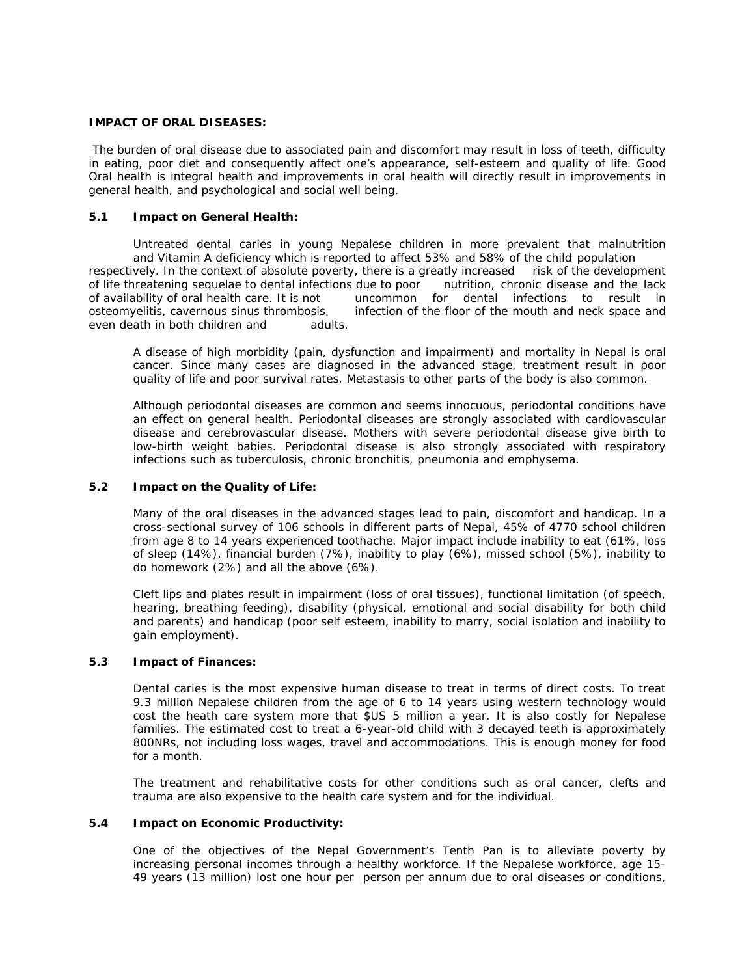# **IMPACT OF ORAL DISEASES:**

 The burden of oral disease due to associated pain and discomfort may result in loss of teeth, difficulty in eating, poor diet and consequently affect one's appearance, self-esteem and quality of life. Good Oral health is integral health and improvements in oral health will directly result in improvements in general health, and psychological and social well being.

### **5.1 Impact on General Health:**

 Untreated dental caries in young Nepalese children in more prevalent that malnutrition and Vitamin A deficiency which is reported to affect 53% and 58% of the child population respectively. In the context of absolute poverty, there is a greatly increased risk of the development of life threatening sequelae to dental infections due to poor nutrition, chronic disease and the lack of availability of oral health care. It is not uncommon for dental infections to result in osteomyelitis, cavernous sinus thrombosis, infection of the floor of the mouth and neck space and even death in both children and adults.

A disease of high morbidity (pain, dysfunction and impairment) and mortality in Nepal is oral cancer. Since many cases are diagnosed in the advanced stage, treatment result in poor quality of life and poor survival rates. Metastasis to other parts of the body is also common.

Although periodontal diseases are common and seems innocuous, periodontal conditions have an effect on general health. Periodontal diseases are strongly associated with cardiovascular disease and cerebrovascular disease. Mothers with severe periodontal disease give birth to low-birth weight babies. Periodontal disease is also strongly associated with respiratory infections such as tuberculosis, chronic bronchitis, pneumonia and emphysema.

# **5.2 Impact on the Quality of Life:**

Many of the oral diseases in the advanced stages lead to pain, discomfort and handicap. In a cross-sectional survey of 106 schools in different parts of Nepal, 45% of 4770 school children from age 8 to 14 years experienced toothache. Major impact include inability to eat (61%, loss of sleep (14%), financial burden (7%), inability to play (6%), missed school (5%), inability to do homework (2%) and all the above (6%).

Cleft lips and plates result in impairment (loss of oral tissues), functional limitation (of speech, hearing, breathing feeding), disability (physical, emotional and social disability for both child and parents) and handicap (poor self esteem, inability to marry, social isolation and inability to gain employment).

### **5.3 Impact of Finances:**

Dental caries is the most expensive human disease to treat in terms of direct costs. To treat 9.3 million Nepalese children from the age of 6 to 14 years using western technology would cost the heath care system more that \$US 5 million a year. It is also costly for Nepalese families. The estimated cost to treat a 6-year-old child with 3 decayed teeth is approximately 800NRs, not including loss wages, travel and accommodations. This is enough money for food for a month.

The treatment and rehabilitative costs for other conditions such as oral cancer, clefts and trauma are also expensive to the health care system and for the individual.

#### **5.4 Impact on Economic Productivity:**

One of the objectives of the Nepal Government's Tenth Pan is to alleviate poverty by increasing personal incomes through a healthy workforce. If the Nepalese workforce, age 15- 49 years (13 million) lost one hour per person per annum due to oral diseases or conditions,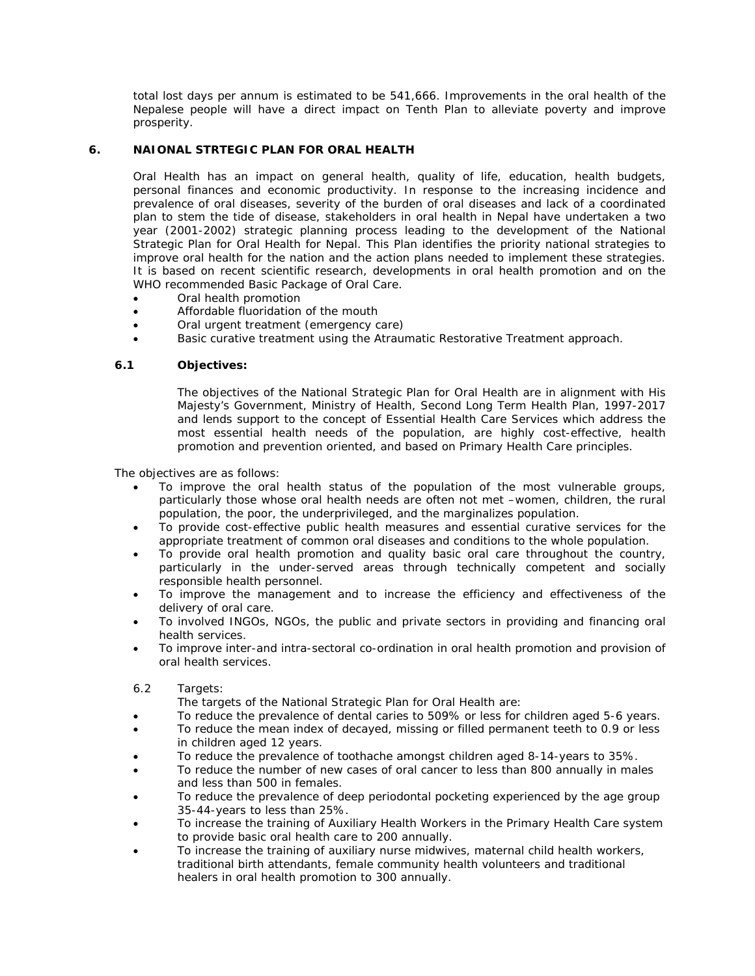total lost days per annum is estimated to be 541,666. Improvements in the oral health of the Nepalese people will have a direct impact on Tenth Plan to alleviate poverty and improve prosperity.

# **6. NAIONAL STRTEGIC PLAN FOR ORAL HEALTH**

Oral Health has an impact on general health, quality of life, education, health budgets, personal finances and economic productivity. In response to the increasing incidence and prevalence of oral diseases, severity of the burden of oral diseases and lack of a coordinated plan to stem the tide of disease, stakeholders in oral health in Nepal have undertaken a two year (2001-2002) strategic planning process leading to the development of the National Strategic Plan for Oral Health for Nepal. This Plan identifies the priority national strategies to improve oral health for the nation and the action plans needed to implement these strategies. It is based on recent scientific research, developments in oral health promotion and on the WHO recommended Basic Package of Oral Care.

- Oral health promotion
- Affordable fluoridation of the mouth
- Oral urgent treatment (emergency care)
- Basic curative treatment using the Atraumatic Restorative Treatment approach.

### **6.1 Objectives:**

The objectives of the National Strategic Plan for Oral Health are in alignment with His Majesty's Government, Ministry of Health, Second Long Term Health Plan, 1997-2017 and lends support to the concept of Essential Health Care Services which address the most essential health needs of the population, are highly cost-effective, health promotion and prevention oriented, and based on Primary Health Care principles.

The objectives are as follows:

- To improve the oral health status of the population of the most vulnerable groups, particularly those whose oral health needs are often not met –women, children, the rural population, the poor, the underprivileged, and the marginalizes population.
- To provide cost-effective public health measures and essential curative services for the appropriate treatment of common oral diseases and conditions to the whole population.
- To provide oral health promotion and quality basic oral care throughout the country, particularly in the under-served areas through technically competent and socially responsible health personnel.
- To improve the management and to increase the efficiency and effectiveness of the delivery of oral care.
- To involved INGOs, NGOs, the public and private sectors in providing and financing oral health services.
- To improve inter-and intra-sectoral co-ordination in oral health promotion and provision of oral health services.
- 6.2 Targets:
	- The targets of the National Strategic Plan for Oral Health are:
- To reduce the prevalence of dental caries to 509% or less for children aged 5-6 years.
- To reduce the mean index of decayed, missing or filled permanent teeth to 0.9 or less in children aged 12 years.
- To reduce the prevalence of toothache amongst children aged 8-14-years to 35%.
- To reduce the number of new cases of oral cancer to less than 800 annually in males and less than 500 in females.
- To reduce the prevalence of deep periodontal pocketing experienced by the age group 35-44-years to less than 25%.
- To increase the training of Auxiliary Health Workers in the Primary Health Care system to provide basic oral health care to 200 annually.
- To increase the training of auxiliary nurse midwives, maternal child health workers, traditional birth attendants, female community health volunteers and traditional healers in oral health promotion to 300 annually.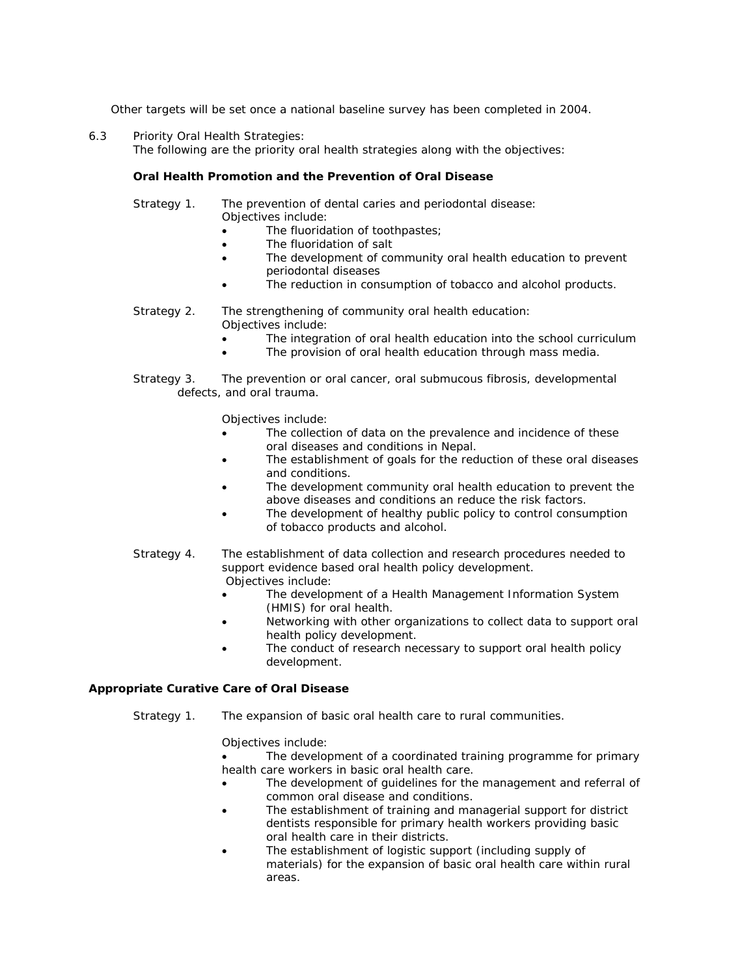Other targets will be set once a national baseline survey has been completed in 2004.

6.3 Priority Oral Health Strategies: The following are the priority oral health strategies along with the objectives:

### *Oral Health Promotion and the Prevention of Oral Disease*

 Strategy 1. The prevention of dental caries and periodontal disease: Objectives include:

- The fluoridation of toothpastes;
- The fluoridation of salt
- The development of community oral health education to prevent periodontal diseases
- The reduction in consumption of tobacco and alcohol products.

# Strategy 2. The strengthening of community oral health education: Objectives include:

- The integration of oral health education into the school curriculum
- The provision of oral health education through mass media.
- Strategy 3. The prevention or oral cancer, oral submucous fibrosis, developmental defects, and oral trauma.

Objectives include:

- The collection of data on the prevalence and incidence of these oral diseases and conditions in Nepal.
- The establishment of goals for the reduction of these oral diseases and conditions.
- The development community oral health education to prevent the above diseases and conditions an reduce the risk factors.
- The development of healthy public policy to control consumption of tobacco products and alcohol.
- Strategy 4. The establishment of data collection and research procedures needed to support evidence based oral health policy development. Objectives include:
	- The development of a Health Management Information System (HMIS) for oral health.
	- Networking with other organizations to collect data to support oral health policy development.
	- The conduct of research necessary to support oral health policy development.

# *Appropriate Curative Care of Oral Disease*

Strategy 1. The expansion of basic oral health care to rural communities.

# Objectives include:

- The development of a coordinated training programme for primary health care workers in basic oral health care.
- The development of guidelines for the management and referral of common oral disease and conditions.
- The establishment of training and managerial support for district dentists responsible for primary health workers providing basic oral health care in their districts.
- The establishment of logistic support (including supply of materials) for the expansion of basic oral health care within rural areas.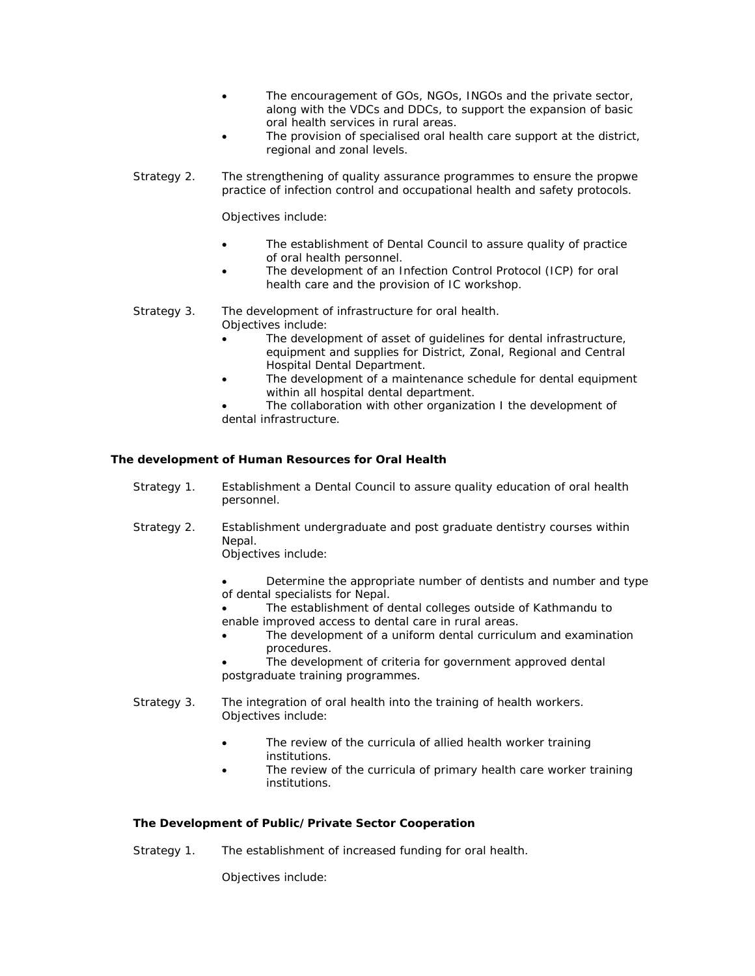- The encouragement of GOs, NGOs, INGOs and the private sector, along with the VDCs and DDCs, to support the expansion of basic oral health services in rural areas.
- The provision of specialised oral health care support at the district, regional and zonal levels.
- Strategy 2. The strengthening of quality assurance programmes to ensure the propwe practice of infection control and occupational health and safety protocols.

Objectives include:

- The establishment of Dental Council to assure quality of practice of oral health personnel.
- The development of an Infection Control Protocol (ICP) for oral health care and the provision of IC workshop.

 Strategy 3. The development of infrastructure for oral health. Objectives include:

- The development of asset of guidelines for dental infrastructure, equipment and supplies for District, Zonal, Regional and Central Hospital Dental Department.
- The development of a maintenance schedule for dental equipment within all hospital dental department.
- The collaboration with other organization I the development of dental infrastructure.

# *The development of Human Resources for Oral Health*

- Strategy 1. Establishment a Dental Council to assure quality education of oral health personnel.
- Strategy 2. Establishment undergraduate and post graduate dentistry courses within Nepal.

Objectives include:

- Determine the appropriate number of dentists and number and type of dental specialists for Nepal.
- The establishment of dental colleges outside of Kathmandu to enable improved access to dental care in rural areas.
- The development of a uniform dental curriculum and examination procedures.
- The development of criteria for government approved dental postgraduate training programmes.
- Strategy 3. The integration of oral health into the training of health workers. Objectives include:
	- The review of the curricula of allied health worker training institutions.
	- The review of the curricula of primary health care worker training institutions.

### *The Development of Public/Private Sector Cooperation*

Strategy 1. The establishment of increased funding for oral health.

Objectives include: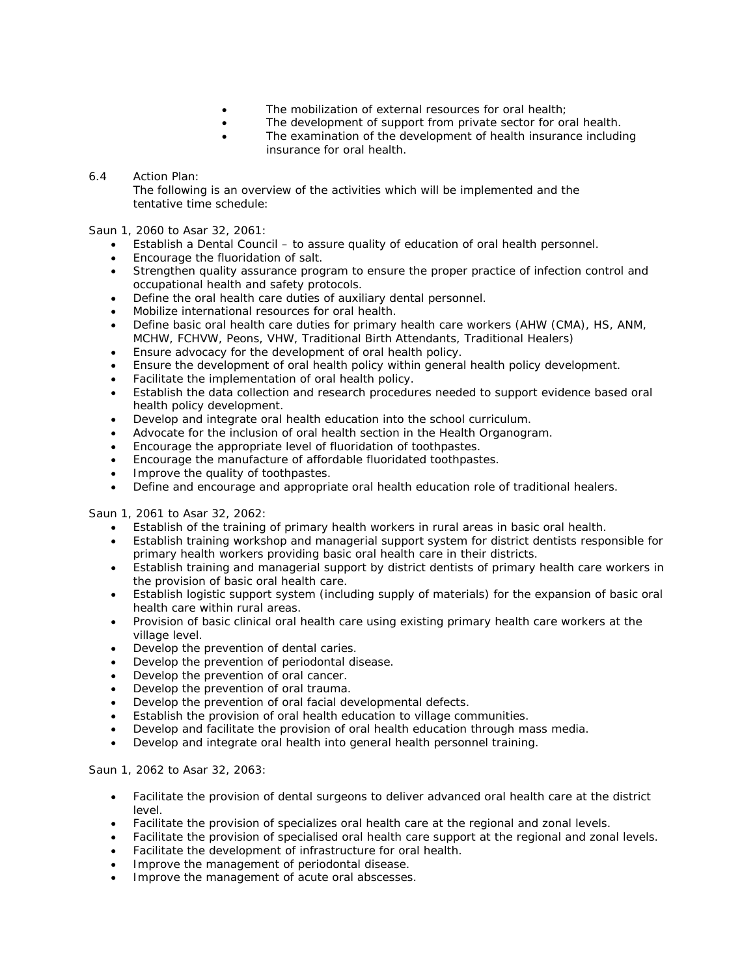- The mobilization of external resources for oral health;
- The development of support from private sector for oral health.
- The examination of the development of health insurance including insurance for oral health.

# 6.4 Action Plan:

 The following is an overview of the activities which will be implemented and the tentative time schedule:

Saun 1, 2060 to Asar 32, 2061:

- Establish a Dental Council to assure quality of education of oral health personnel.
- Encourage the fluoridation of salt.
- Strengthen quality assurance program to ensure the proper practice of infection control and occupational health and safety protocols.
- Define the oral health care duties of auxiliary dental personnel.
- Mobilize international resources for oral health.
- Define basic oral health care duties for primary health care workers (AHW (CMA), HS, ANM, MCHW, FCHVW, Peons, VHW, Traditional Birth Attendants, Traditional Healers)
- Ensure advocacy for the development of oral health policy.
- Ensure the development of oral health policy within general health policy development.
- Facilitate the implementation of oral health policy.
- Establish the data collection and research procedures needed to support evidence based oral health policy development.
- Develop and integrate oral health education into the school curriculum.
- Advocate for the inclusion of oral health section in the Health Organogram.
- Encourage the appropriate level of fluoridation of toothpastes.
- Encourage the manufacture of affordable fluoridated toothpastes.
- Improve the quality of toothpastes.
- Define and encourage and appropriate oral health education role of traditional healers.

Saun 1, 2061 to Asar 32, 2062:

- Establish of the training of primary health workers in rural areas in basic oral health.
- Establish training workshop and managerial support system for district dentists responsible for primary health workers providing basic oral health care in their districts.
- Establish training and managerial support by district dentists of primary health care workers in the provision of basic oral health care.
- Establish logistic support system (including supply of materials) for the expansion of basic oral health care within rural areas.
- Provision of basic clinical oral health care using existing primary health care workers at the village level.
- Develop the prevention of dental caries.
- Develop the prevention of periodontal disease.
- Develop the prevention of oral cancer.
- Develop the prevention of oral trauma.
- Develop the prevention of oral facial developmental defects.
- Establish the provision of oral health education to village communities.
- Develop and facilitate the provision of oral health education through mass media.
- Develop and integrate oral health into general health personnel training.

### Saun 1, 2062 to Asar 32, 2063:

- Facilitate the provision of dental surgeons to deliver advanced oral health care at the district level.
- Facilitate the provision of specializes oral health care at the regional and zonal levels.
- Facilitate the provision of specialised oral health care support at the regional and zonal levels.
- Facilitate the development of infrastructure for oral health.
- Improve the management of periodontal disease.
- Improve the management of acute oral abscesses.